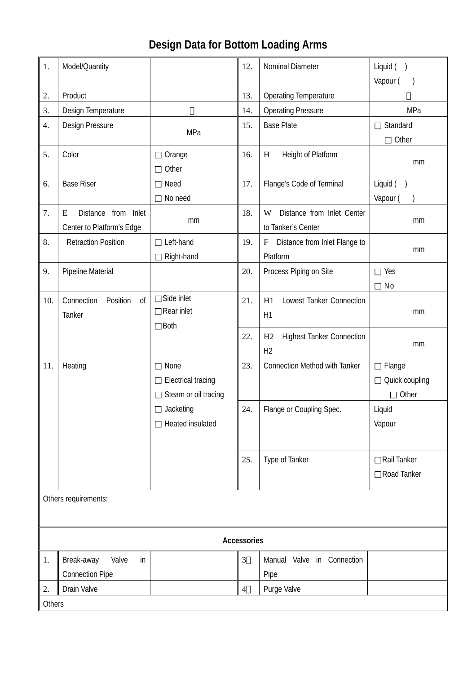## **Design Data for Bottom Loading Arms**

| 1.                   | Model/Quantity                                                  |                                                                                            | 12.            | Nominal Diameter                                         | Liquid ()<br>Vapour (             |
|----------------------|-----------------------------------------------------------------|--------------------------------------------------------------------------------------------|----------------|----------------------------------------------------------|-----------------------------------|
| 2.                   | Product                                                         |                                                                                            | 13.            | <b>Operating Temperature</b>                             |                                   |
| 3.                   | Design Temperature                                              |                                                                                            | 14.            | <b>Operating Pressure</b>                                | MPa                               |
| 4.                   | Design Pressure                                                 | MPa                                                                                        | 15.            | <b>Base Plate</b>                                        | Standard<br>Other                 |
| 5.                   | Color                                                           | Orange<br>Other                                                                            | 16.            | Height of Platform<br>H                                  | mm                                |
| 6.                   | <b>Base Riser</b>                                               | Need<br>No need                                                                            | 17.            | Flange's Code of Terminal                                | Liquid (<br>Vapour (              |
| 7.                   | <b>Distance</b><br>from Inlet<br>E<br>Center to Platform's Edge | mm                                                                                         | 18.            | Distance from Inlet Center<br>W<br>to Tanker's Center    | mm                                |
| 8.                   | <b>Retraction Position</b>                                      | Left-hand<br>Right-hand                                                                    | 19.            | Distance from Inlet Flange to<br>$\mathbf F$<br>Platform | mm                                |
| 9.                   | Pipeline Material                                               |                                                                                            | 20.            | Process Piping on Site                                   | Yes<br>No                         |
| 10.                  | Position<br>Connection<br>0f<br>Tanker                          | Side inlet<br>Rear inlet<br><b>Both</b>                                                    | 21.            | Lowest Tanker Connection<br>H1<br>H1                     | mm                                |
|                      |                                                                 |                                                                                            | 22.            | <b>Highest Tanker Connection</b><br>H2<br>H <sub>2</sub> | mm                                |
| 11.                  | Heating                                                         | None<br><b>Electrical tracing</b><br>Steam or oil tracing<br>Jacketing<br>Heated insulated | 23.            | <b>Connection Method with Tanker</b>                     | Flange<br>Quick coupling<br>Other |
|                      |                                                                 |                                                                                            | 24.            | Flange or Coupling Spec.                                 | Liquid<br>Vapour                  |
|                      |                                                                 |                                                                                            | 25.            | Type of Tanker                                           | Rail Tanker<br>Road Tanker        |
| Others requirements: |                                                                 |                                                                                            |                |                                                          |                                   |
| Accessories          |                                                                 |                                                                                            |                |                                                          |                                   |
| 1.                   | Break-away<br>Valve<br>in<br><b>Connection Pipe</b>             |                                                                                            | 3              | Manual Valve in Connection<br>Pipe                       |                                   |
| 2.                   | Drain Valve                                                     |                                                                                            | $\overline{4}$ | Purge Valve                                              |                                   |
| Others               |                                                                 |                                                                                            |                |                                                          |                                   |